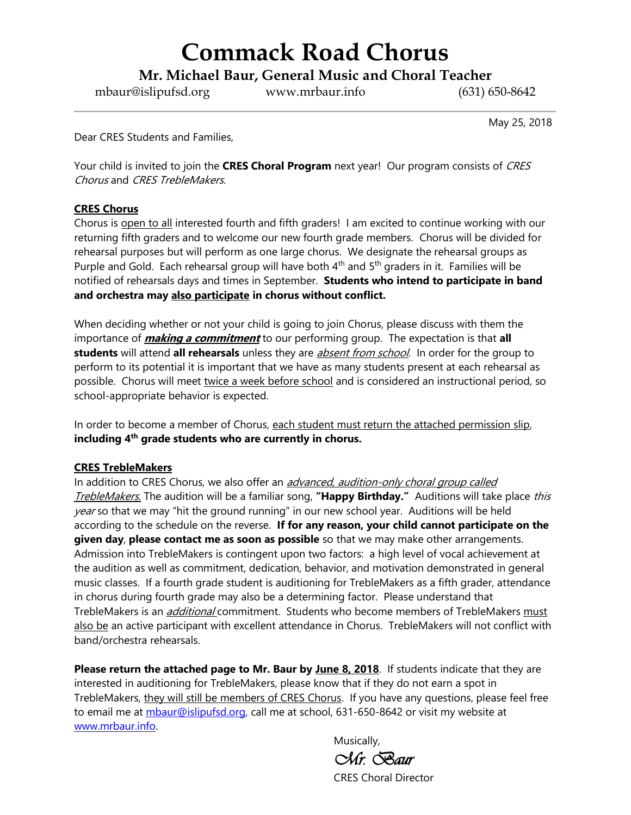## **Commack Road Chorus**

**Mr. Michael Baur, General Music and Choral Teacher**

mbaur@islipufsd.org www.mrbaur.info (631) 650-8642

May 25, 2018

Dear CRES Students and Families,

Your child is invited to join the **CRES Choral Program** next year! Our program consists of CRES Chorus and CRES TrebleMakers.

#### **CRES Chorus**

Chorus is open to all interested fourth and fifth graders! I am excited to continue working with our returning fifth graders and to welcome our new fourth grade members. Chorus will be divided for rehearsal purposes but will perform as one large chorus. We designate the rehearsal groups as Purple and Gold. Each rehearsal group will have both  $4<sup>th</sup>$  and  $5<sup>th</sup>$  graders in it. Families will be notified of rehearsals days and times in September. **Students who intend to participate in band and orchestra may also participate in chorus without conflict.**

When deciding whether or not your child is going to join Chorus, please discuss with them the importance of **making a commitment** to our performing group. The expectation is that **all students** will attend **all rehearsals** unless they are absent from school. In order for the group to perform to its potential it is important that we have as many students present at each rehearsal as possible. Chorus will meet twice a week before school and is considered an instructional period, so school-appropriate behavior is expected.

In order to become a member of Chorus, each student must return the attached permission slip, **including 4th grade students who are currently in chorus.**

#### **CRES TrebleMakers**

In addition to CRES Chorus, we also offer an *advanced, audition-only choral group called* TrebleMakers. The audition will be a familiar song, **"Happy Birthday."** Auditions will take place this year so that we may "hit the ground running" in our new school year. Auditions will be held according to the schedule on the reverse. **If for any reason, your child cannot participate on the given day**, **please contact me as soon as possible** so that we may make other arrangements. Admission into TrebleMakers is contingent upon two factors: a high level of vocal achievement at the audition as well as commitment, dedication, behavior, and motivation demonstrated in general music classes. If a fourth grade student is auditioning for TrebleMakers as a fifth grader, attendance in chorus during fourth grade may also be a determining factor. Please understand that TrebleMakers is an *additional* commitment. Students who become members of TrebleMakers must also be an active participant with excellent attendance in Chorus. TrebleMakers will not conflict with band/orchestra rehearsals.

**Please return the attached page to Mr. Baur by June 8, 2018**. If students indicate that they are interested in auditioning for TrebleMakers, please know that if they do not earn a spot in TrebleMakers, they will still be members of CRES Chorus. If you have any questions, please feel free to email me at [mbaur@islipufsd.org,](mailto:mbaur@islipufsd.org) call me at school, 631-650-8642 or visit my website at [www.mrbaur.info.](http://www.mrbaur.info/)

Musically,

*Mr. Baur* 

CRES Choral Director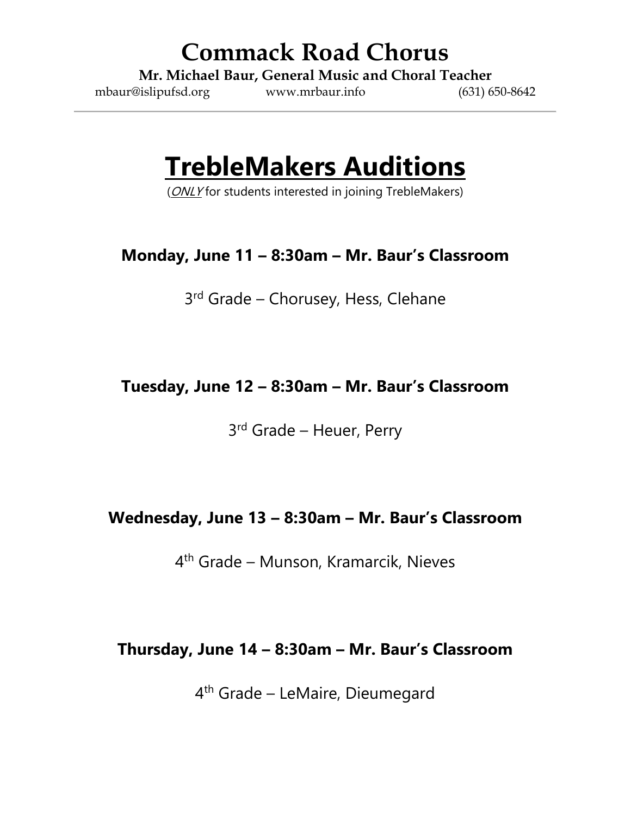### **Commack Road Chorus**

**Mr. Michael Baur, General Music and Choral Teacher**

mbaur@islipufsd.org www.mrbaur.info (631) 650-8642

## **TrebleMakers Auditions**

(ONLY for students interested in joining TrebleMakers)

### **Monday, June 11 – 8:30am – Mr. Baur's Classroom**

3<sup>rd</sup> Grade - Chorusey, Hess, Clehane

### **Tuesday, June 12 – 8:30am – Mr. Baur's Classroom**

3<sup>rd</sup> Grade - Heuer, Perry

#### **Wednesday, June 13 – 8:30am – Mr. Baur's Classroom**

4 th Grade – Munson, Kramarcik, Nieves

#### **Thursday, June 14 – 8:30am – Mr. Baur's Classroom**

4<sup>th</sup> Grade – LeMaire, Dieumegard